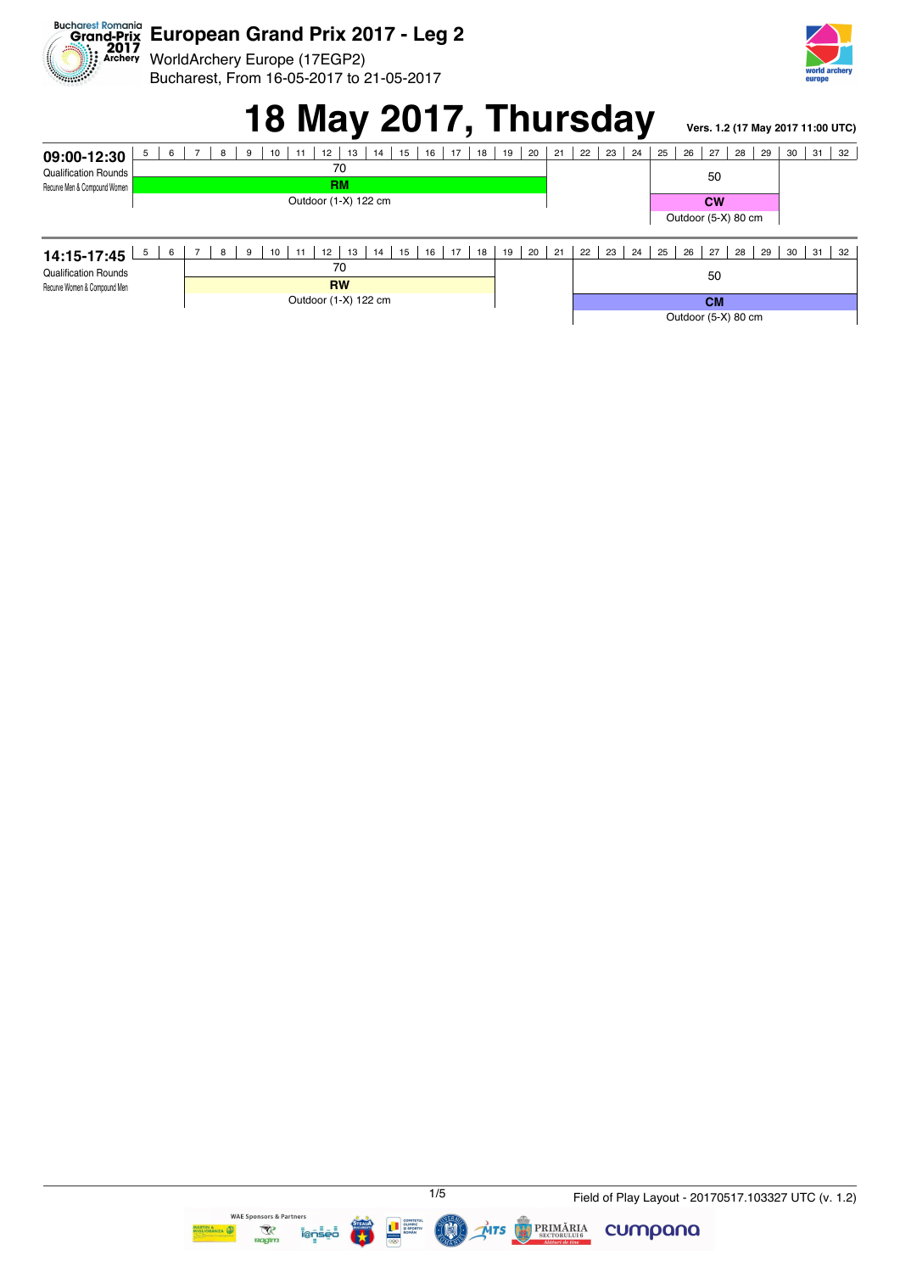

WorldArchery Europe (17EGP2) Archery Bucharest, From 16-05-2017 to 21-05-2017



# **18 May 2017, Thursday Vers. 1.2 (17 May 2017 11:00 UTC)**

| 5<br>6<br>09:00-12:30                                       | 15<br>17<br>18<br>12<br>13<br>16<br>9<br>14<br>10<br>8       | 19<br>20   | 21 | 22                  | 23 | 24<br>25            | 26 | 27        | 29<br>28 | 30 | 31 | 32 |
|-------------------------------------------------------------|--------------------------------------------------------------|------------|----|---------------------|----|---------------------|----|-----------|----------|----|----|----|
| <b>Qualification Rounds</b><br>Recurve Men & Compound Women | 70                                                           |            |    |                     |    |                     |    | 50        |          |    |    |    |
|                                                             | <b>RM</b>                                                    |            |    |                     |    |                     |    |           |          |    |    |    |
|                                                             | Outdoor (1-X) 122 cm                                         |            |    |                     |    |                     |    | <b>CW</b> |          |    |    |    |
|                                                             |                                                              |            |    |                     |    | Outdoor (5-X) 80 cm |    |           |          |    |    |    |
|                                                             |                                                              |            |    |                     |    |                     |    |           |          |    |    |    |
| 5 <sup>5</sup><br>6<br>14:15-17:45                          | 15<br>17<br>12<br>13<br>16<br>18<br>9<br>10<br>14<br>8<br>11 | 20<br>19 I | 21 | 22                  | 23 | 24<br>25            | 26 | 27        | 29<br>28 | 30 | 31 | 32 |
| <b>Qualification Rounds</b><br>Recurve Women & Compound Men | 70                                                           |            |    |                     |    |                     |    | 50        |          |    |    |    |
|                                                             | <b>RW</b>                                                    |            |    |                     |    |                     |    |           |          |    |    |    |
|                                                             | Outdoor (1-X) 122 cm                                         |            |    | <b>CM</b>           |    |                     |    |           |          |    |    |    |
|                                                             |                                                              |            |    | Outdoor (5-X) 80 cm |    |                     |    |           |          |    |    |    |



**BRIMĂRIA** 

 $ATS$ 

cumpana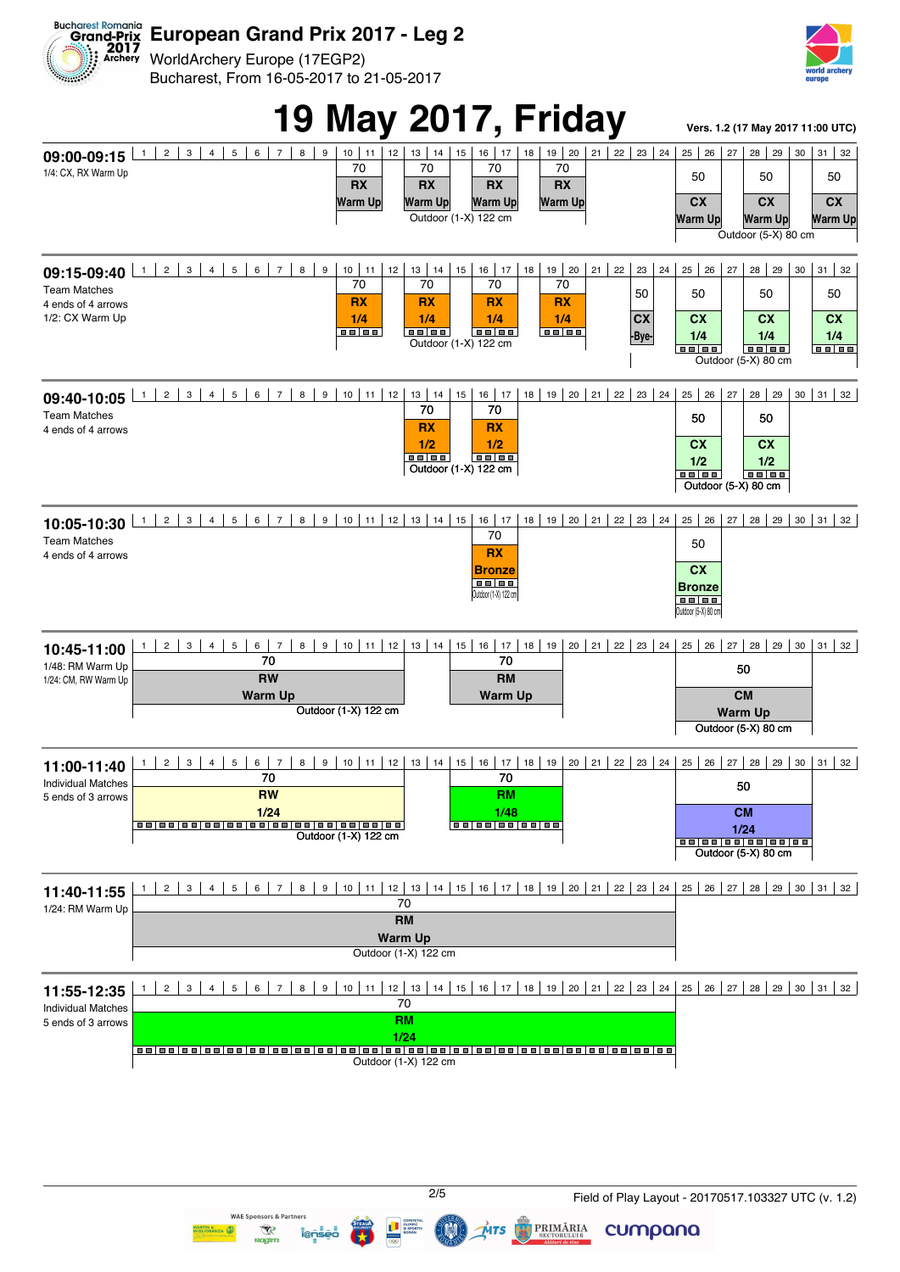

WorldArchery Europe (17EGP2) Bucharest, From 16-05-2017 to 21-05-2017

WAF SI

nnsors & Partner

ien

 $\overline{\mathcal{R}}$ 





cumpana

**PRIMĂRIA** 

 $MTS$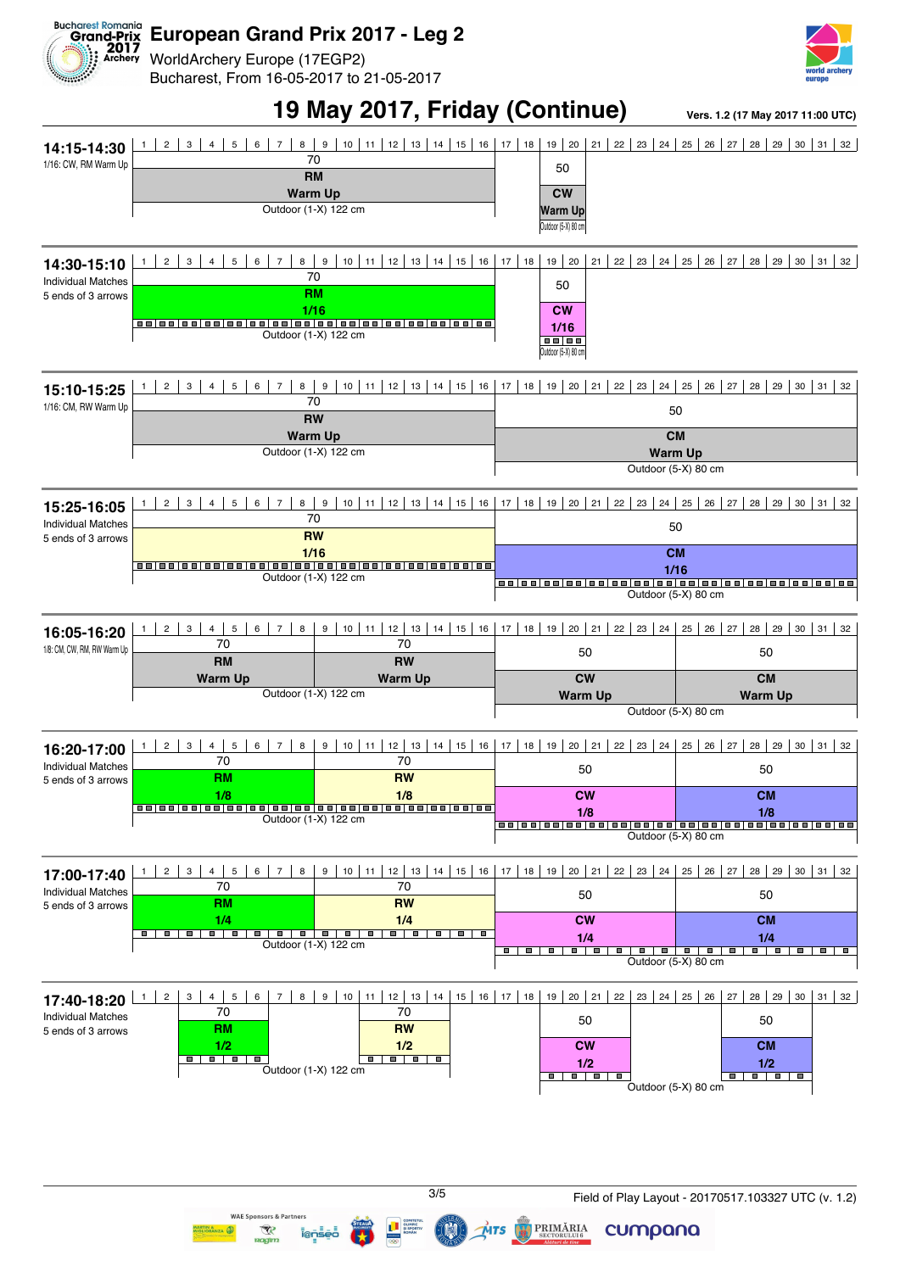

WorldArchery Europe (17EGP2) Bucharest, From 16-05-2017 to 21-05-2017



### **19 May 2017, Friday (Continue) Vers. 1.2 (17 May 2017 11:00 UTC)**

cumpana

 $MTS$ 

PRIMĂRIA

WAF S

nsors & Part

 $\overline{\mathcal{R}}$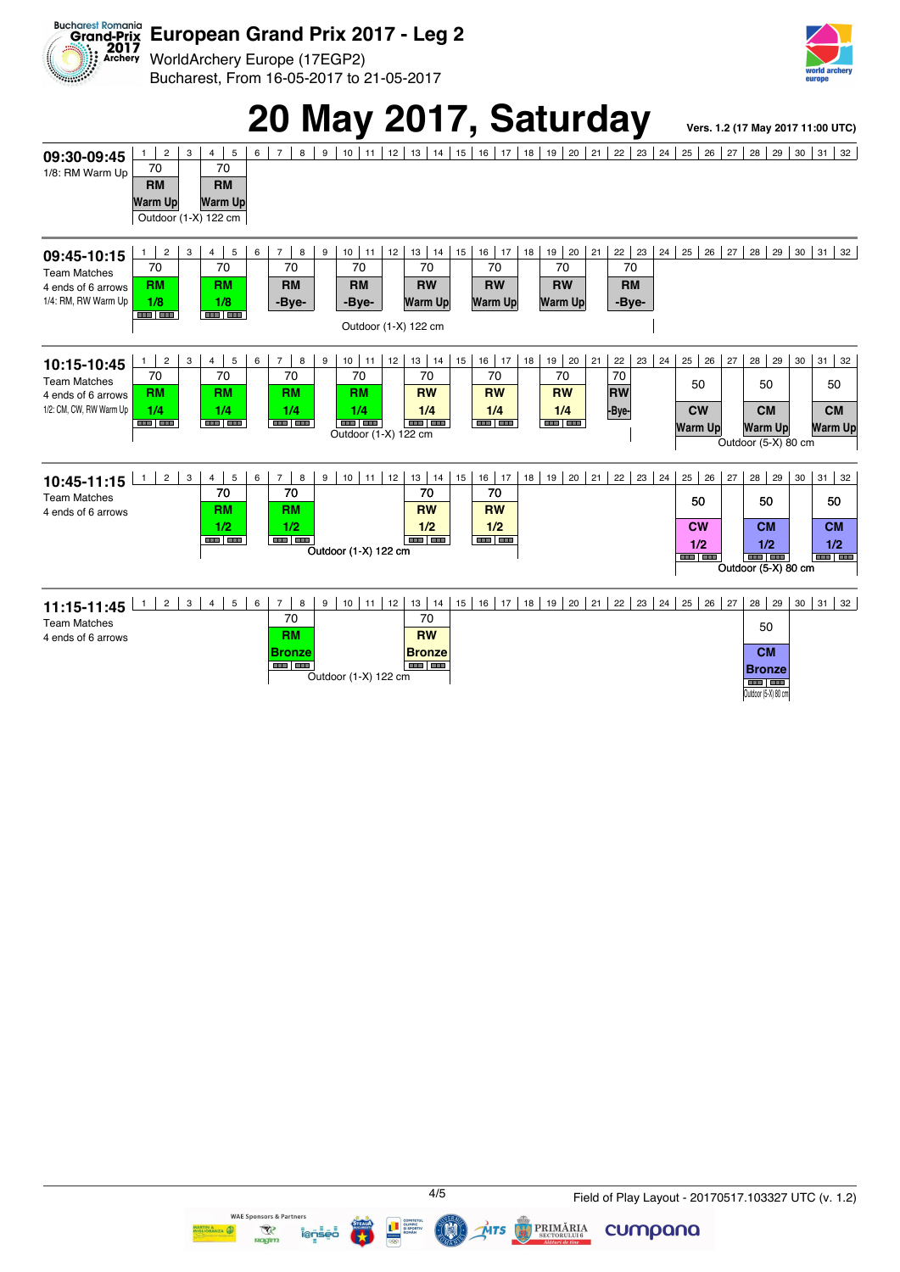

WorldArchery Europe (17EGP2) Bucharest, From 16-05-2017 to 21-05-2017



### 20 May 2017, Saturday **Vers. 1.2 (17 May 2017 11:00 UTC)**

**09:30-09:45** 1/8: RM Warm Up 1 2 3 4 5 6 7 8 9 10 11 12 13 14 15 16 17 18 9 20 21 22 23 24 25 26 27 28 29 30 31 32 70 **RM Warm Up** 70 **RM Warm Up** Outdoor (1-X) 122 cm **09:45-10:15** Team Matches 4 ends of 6 arrows 1/4: RM, RW Warm Up 1 2 3 4 5 6 7 8 9 10 11 12 3 4 15 6 7 8 9 10 11 2 70 **RM 1/8** 70 **RM 1/8** 70 **RM -Bye-**70 **RM -Bye-**70 **RW Warm Up** 70 **RW Warm Up** 70 **RW Warm Up** 70 **RM -Bye-**Outdoor (1-X) 122 cm **10:15-10:45** Team Matches 4 ends of 6 arrows 1/2: CM, CW, RW Warm Un 1 2 3 4 5 6 7 8 9 10 11 2 3 4 5 6 7 8 9 10 11 2 3 4 5 6 7 8 9 20 14 15 16 17 18 19 19 10 11 20 21 22 23 24 25 26 27 28 27 28 29 30 31 32 70 **RM 1/4** 70 **RM 1/4** 70 **RM 1/4** 70 **RM 1/4** 70 **RW 1/4** 70 **RW 1/4** 70 **RW 1/4** 70 **RW -Bye-**50 **CW Warm Up** 50 **CM Warm Up** 50 **CM** <u>of the sum of the sum of the sum of the sum of the sum of the sum of the sum of the sum of the sum of the sum of the sum of the sum of the sum of the sum of the sum of the sum of the sum of the sum of the sum of the sum o</u> **10:45-11:15** Team Matches 4 ends of 6 arrows 4 5 6 7 8 9 10 11 2 3 4 5 6 7 8 9 30 31 32 70 **RM 1/2** 70 **RM 1/2** 70 **RW 1/2**  $\overline{70}$ **RW 1/2** 50 **CW 1/2** 50 **CM 1/2** 50 **CM 1/2**  $\overline{O}$ utdoor (1-X) 122 cm Outdoor (5-X) 80 cm **11:15-11:45** Team Matches 4 ends of 6 arrows 7 8 9 10 11 12 13 14 15 16 17 18 19 20 21 22 23 24 25 26 27 28 29 30 31 32 70 **RM Bronze** 70 **RW Bronze** 50 **CM Bronze** Outdoor (1-X) 122 cm Outdoor (5-X) 80 cr



iens

WAE Sponsors & Partners

 $\overline{\mathcal{R}}$ 

**PRIMĂRIA** 

 $\vec{M}$